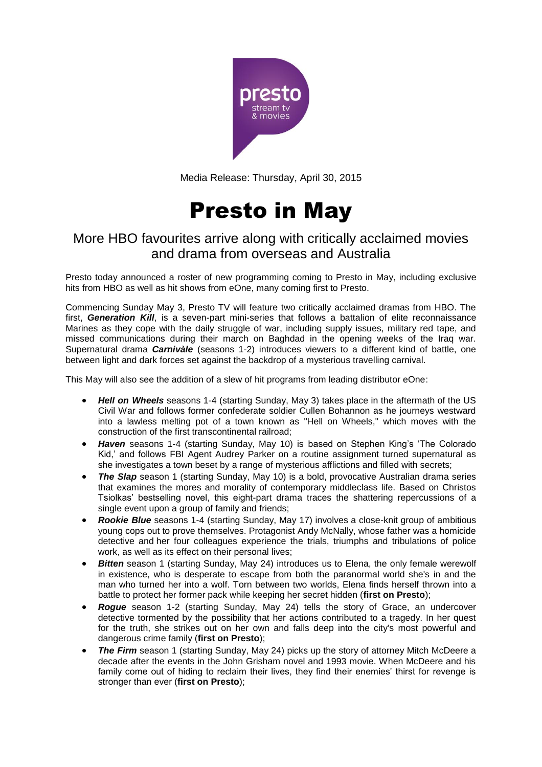

Media Release: Thursday, April 30, 2015

# Presto in May

## More HBO favourites arrive along with critically acclaimed movies and drama from overseas and Australia

Presto today announced a roster of new programming coming to Presto in May, including exclusive hits from HBO as well as hit shows from eOne, many coming first to Presto.

Commencing Sunday May 3, Presto TV will feature two critically acclaimed dramas from HBO. The first, *Generation Kill*, is a seven-part mini-series that follows a battalion of elite reconnaissance Marines as they cope with the daily struggle of war, including supply issues, military red tape, and missed communications during their march on Baghdad in the opening weeks of the Iraq war. Supernatural drama *Carnivàle* (seasons 1-2) introduces viewers to a different kind of battle, one between light and dark forces set against the backdrop of a mysterious travelling carnival.

This May will also see the addition of a slew of hit programs from leading distributor eOne:

- *Hell on Wheels* seasons 1-4 (starting Sunday, May 3) takes place in the aftermath of the US Civil War and follows former confederate soldier Cullen Bohannon as he journeys westward into a lawless melting pot of a town known as "Hell on Wheels," which moves with the construction of the first transcontinental railroad;
- *Haven* seasons 1-4 (starting Sunday, May 10) is based on Stephen King's 'The Colorado Kid,' and follows FBI Agent Audrey Parker on a routine assignment turned supernatural as she investigates a town beset by a range of mysterious afflictions and filled with secrets;
- The Slap season 1 (starting Sunday, May 10) is a bold, provocative Australian drama series that examines the mores and morality of contemporary middleclass life. Based on Christos Tsiolkas' bestselling novel, this eight-part drama traces the shattering repercussions of a single event upon a group of family and friends;
- *Rookie Blue* seasons 1-4 (starting Sunday, May 17) involves a close-knit group of ambitious young cops out to prove themselves. Protagonist Andy McNally, whose father was a homicide detective and her four colleagues experience the trials, triumphs and tribulations of police work, as well as its effect on their personal lives;
- **Bitten** season 1 (starting Sunday, May 24) introduces us to Elena, the only female werewolf in existence, who is desperate to escape from both the paranormal world she's in and the man who turned her into a wolf. Torn between two worlds, Elena finds herself thrown into a battle to protect her former pack while keeping her secret hidden (**first on Presto**);
- *Rogue* season 1-2 (starting Sunday, May 24) tells the story of Grace, an undercover detective tormented by the possibility that her actions contributed to a tragedy. In her quest for the truth, she strikes out on her own and falls deep into the city's most powerful and dangerous crime family (**first on Presto**);
- The Firm season 1 (starting Sunday, May 24) picks up the story of attorney Mitch McDeere a decade after the events in the John Grisham novel and 1993 movie. When McDeere and his family come out of hiding to reclaim their lives, they find their enemies' thirst for revenge is stronger than ever (**first on Presto**);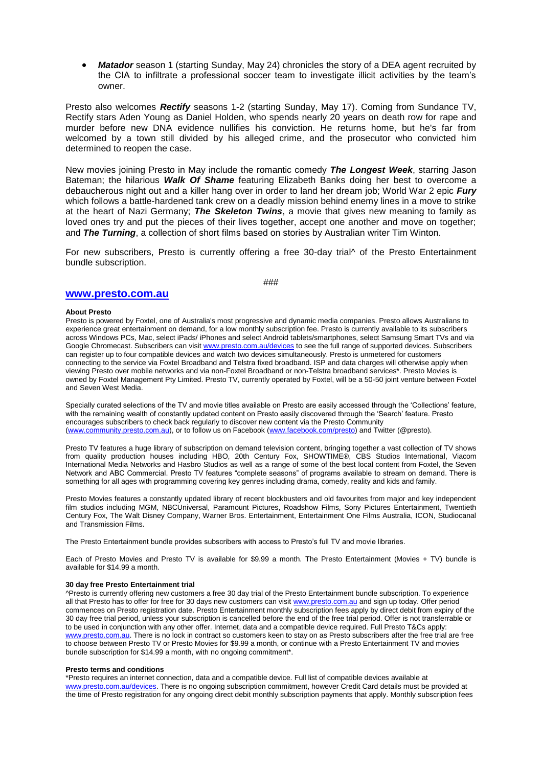*Matador* season 1 (starting Sunday, May 24) chronicles the story of a DEA agent recruited by the CIA to infiltrate a professional soccer team to investigate illicit activities by the team's owner.

Presto also welcomes *Rectify* seasons 1-2 (starting Sunday, May 17). Coming from Sundance TV, Rectify stars Aden Young as Daniel Holden, who spends nearly 20 years on death row for rape and murder before new DNA evidence nullifies his conviction. He returns home, but he's far from welcomed by a town still divided by his alleged crime, and the prosecutor who convicted him determined to reopen the case.

New movies joining Presto in May include the romantic comedy *The Longest Week*, starring Jason Bateman; the hilarious *Walk Of Shame* featuring Elizabeth Banks doing her best to overcome a debaucherous night out and a killer hang over in order to land her dream job; World War 2 epic *Fury* which follows a battle-hardened tank crew on a deadly mission behind enemy lines in a move to strike at the heart of Nazi Germany; *The Skeleton Twins*, a movie that gives new meaning to family as loved ones try and put the pieces of their lives together, accept one another and move on together; and *The Turning*, a collection of short films based on stories by Australian writer Tim Winton.

For new subscribers, Presto is currently offering a free 30-day trial of the Presto Entertainment bundle subscription.

###

### **[www.presto.com.au](http://www.presto.com.au/)**

#### **About Presto**

Presto is powered by Foxtel, one of Australia's most progressive and dynamic media companies. Presto allows Australians to experience great entertainment on demand, for a low monthly subscription fee. Presto is currently available to its subscribers across Windows PCs, Mac, select iPads/ iPhones and select Android tablets/smartphones, select Samsung Smart TVs and via Google Chromecast. Subscribers can visi[t www.presto.com.au/devices](http://www.presto.com.au/devices) to see the full range of supported devices. Subscribers can register up to four compatible devices and watch two devices simultaneously. Presto is unmetered for customers connecting to the service via Foxtel Broadband and Telstra fixed broadband. ISP and data charges will otherwise apply when viewing Presto over mobile networks and via non-Foxtel Broadband or non-Telstra broadband services\*. Presto Movies is owned by Foxtel Management Pty Limited. Presto TV, currently operated by Foxtel, will be a 50-50 joint venture between Foxtel and Seven West Media.

Specially curated selections of the TV and movie titles available on Presto are easily accessed through the 'Collections' feature, with the remaining wealth of constantly updated content on Presto easily discovered through the 'Search' feature. Presto encourages subscribers to check back regularly to discover new content via the Presto Community [\(www.community.presto.com.au\)](http://www.community.presto.com.au/), or to follow us on Facebook [\(www.facebook.com/presto\)](http://www.facebook.com/presto) and Twitter (@presto).

Presto TV features a huge library of subscription on demand television content, bringing together a vast collection of TV shows from quality production houses including HBO, 20th Century Fox, SHOWTIME®, CBS Studios International, Viacom International Media Networks and Hasbro Studios as well as a range of some of the best local content from Foxtel, the Seven Network and ABC Commercial. Presto TV features "complete seasons" of programs available to stream on demand. There is something for all ages with programming covering key genres including drama, comedy, reality and kids and family.

Presto Movies features a constantly updated library of recent blockbusters and old favourites from major and key independent film studios including MGM, NBCUniversal, Paramount Pictures, Roadshow Films, Sony Pictures Entertainment, Twentieth Century Fox, The Walt Disney Company, Warner Bros. Entertainment, Entertainment One Films Australia, ICON, Studiocanal and Transmission Films.

The Presto Entertainment bundle provides subscribers with access to Presto's full TV and movie libraries.

Each of Presto Movies and Presto TV is available for \$9.99 a month. The Presto Entertainment (Movies + TV) bundle is available for \$14.99 a month.

#### **30 day free Presto Entertainment trial**

^Presto is currently offering new customers a free 30 day trial of the Presto Entertainment bundle subscription. To experience all that Presto has to offer for free for 30 days new customers can visit [www.presto.com.au](http://www.presto.com.au/) and sign up today. Offer period commences on Presto registration date. Presto Entertainment monthly subscription fees apply by direct debit from expiry of the 30 day free trial period, unless your subscription is cancelled before the end of the free trial period. Offer is not transferrable or to be used in conjunction with any other offer. Internet, data and a compatible device required. Full Presto T&Cs apply: [www.presto.com.au.](http://www.presto.com.au/) There is no lock in contract so customers keen to stay on as Presto subscribers after the free trial are free to choose between Presto TV or Presto Movies for \$9.99 a month, or continue with a Presto Entertainment TV and movies bundle subscription for \$14.99 a month, with no ongoing commitment\*.

#### **Presto terms and conditions**

\*Presto requires an internet connection, data and a compatible device. Full list of compatible devices available at www.presto.com.au/devices</u>. There is no ongoing subscription commitment, however Credit Card details must be provided at the time of Presto registration for any ongoing direct debit monthly subscription payments that apply. Monthly subscription fees